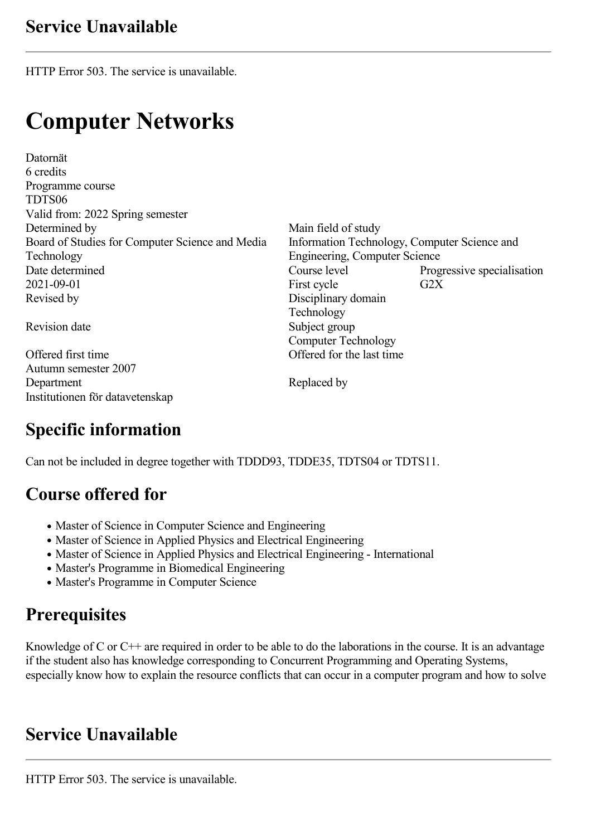HTTP Error 503. The service is unavailable.

# **Computer Networks**

Datornät 6 credits Programme course TDTS06 Valid from: 2022 Spring semester Determined by Main field of study Board of Studies for Computer Science and Media Technology<br>Date determined 2021-09-01 First cycle G2X Revised by Disciplinary domain

Offered first time Offered for the last time Autumn semester 2007 Department Replaced by Institutionen för datavetenskap

Information Technology, Computer Science and Engineering, Computer Science Date determined Course level Progressive specialisation<br>
2021-09-01 First cycle G2X Technology Revision date Subject group Computer Technology

# **Specific information**

Can not be included in degree together with TDDD93, TDDE35, TDTS04 or TDTS11.

### **Course offered for**

- Master of Science in Computer Science and Engineering
- Master of Science in Applied Physics and Electrical Engineering
- Master of Science in Applied Physics and Electrical Engineering International
- Master's Programme in Biomedical Engineering
- Master's Programme in Computer Science

# **Prerequisites**

Knowledge of C or  $C++$  are required in order to be able to do the laborations in the course. It is an advantage if the student also has knowledge corresponding to Concurrent Programming and Operating Systems, especially know how to explain the resource conflicts that can occur in a computer program and how to solve

### **Service Unavailable**

HTTP Error 503. The service is unavailable.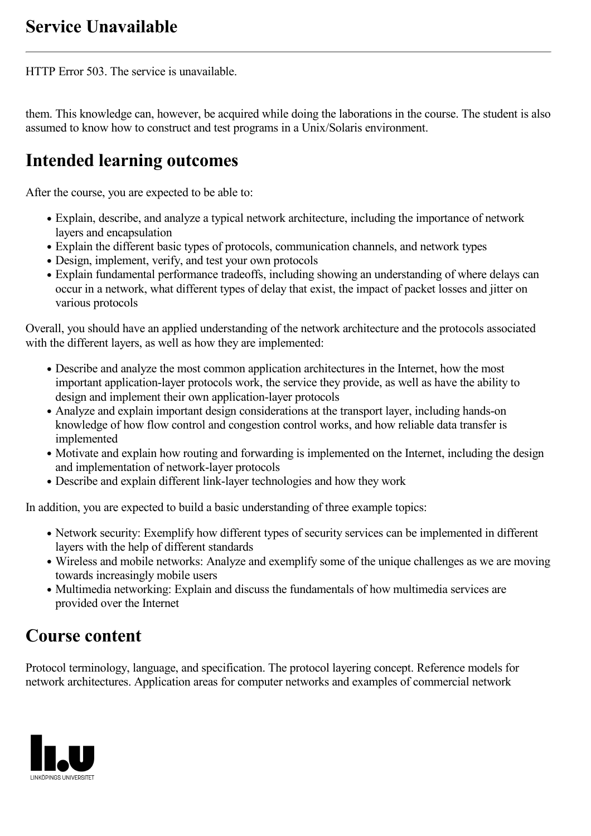HTTP Error 503. The service is unavailable.

them. This knowledge can, however, be acquired while doing the laborations in the course. The student is also assumed to know how to construct and test programs in a Unix/Solaris environment.

# **Intended learning outcomes**

After the course, you are expected to be able to:

- Explain, describe, and analyze a typical network architecture, including the importance of network layers and encapsulation
- Explain the different basic types of protocols, communication channels, and network types
- Design, implement, verify, and test your own protocols
- Explain fundamental performance tradeoffs, including showing an understanding of where delays can occur in a network, what different types of delay that exist, the impact of packet losses and jitter on various protocols

Overall, you should have an applied understanding of the network architecture and the protocols associated with the different layers, as well as how they are implemented:

- Describe and analyze the most common application architectures in the Internet, how the most important application-layer protocols work, the service they provide, as well as have the ability to design and implement their own application-layer protocols
- Analyze and explain important design considerations at the transport layer, including hands-on knowledge of how flow control and congestion control works, and how reliable data transfer is implemented
- Motivate and explain how routing and forwarding is implemented on the Internet, including the design and implementation of network-layer protocols
- Describe and explain different link-layer technologies and how they work

In addition, you are expected to build a basic understanding of three example topics:

- Network security: Exemplify how different types of security services can be implemented in different layers with the help of different standards
- Wireless and mobile networks: Analyze and exemplify some of the unique challenges as we are moving towards increasingly mobile users
- Multimedia networking: Explain and discuss the fundamentals of how multimedia services are provided over the Internet

# **Course content**

Protocol terminology, language, and specification. The protocol layering concept. Reference models for network architectures. Application areas for computer networks and examples of commercial network

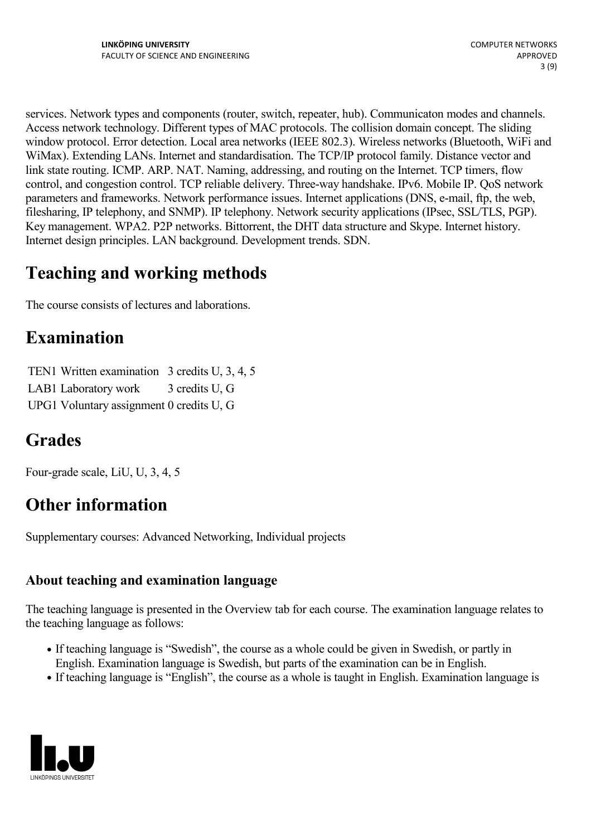services. Network types and components (router, switch, repeater, hub). Communicaton modes and channels. Access network technology. Different types of MAC protocols. The collision domain concept. The sliding window protocol. Error detection. Local area networks (IEEE 802.3). Wireless networks (Bluetooth, WiFi and WiMax). Extending LANs. Internet and standardisation. The TCP/IP protocol family. Distance vector and link state routing. ICMP. ARP. NAT. Naming, addressing, and routing on the Internet. TCP timers, flow control, and congestion control. TCP reliable delivery. Three-way handshake. IPv6. Mobile IP. QoS network parameters and frameworks. Network performance issues. Internet applications (DNS, e-mail, ftp, the web, filesharing, IP telephony, and SNMP). IP telephony. Network security applications (IPsec, SSL/TLS, PGP). Key management. WPA2. P2P networks. Bittorrent, the DHT data structure and Skype. Internet history. Internet design principles. LAN background. Development trends. SDN.

# **Teaching and working methods**

The course consists of lectures and laborations.

### **Examination**

TEN1 Written examination 3 credits U, 3, 4, 5 LAB1 Laboratory work 3 credits U, G

UPG1 Voluntary assignment 0 credits U, G

# **Grades**

Four-grade scale, LiU, U, 3, 4, 5

# **Other information**

Supplementary courses: Advanced Networking, Individual projects

### **About teaching and examination language**

The teaching language is presented in the Overview tab for each course. The examination language relates to the teaching language as follows:

- If teaching language is "Swedish", the course as a whole could be given in Swedish, or partly in English. Examination language is Swedish, but parts of the examination can be in English.
- If teaching language is "English", the course as a whole is taught in English. Examination language is

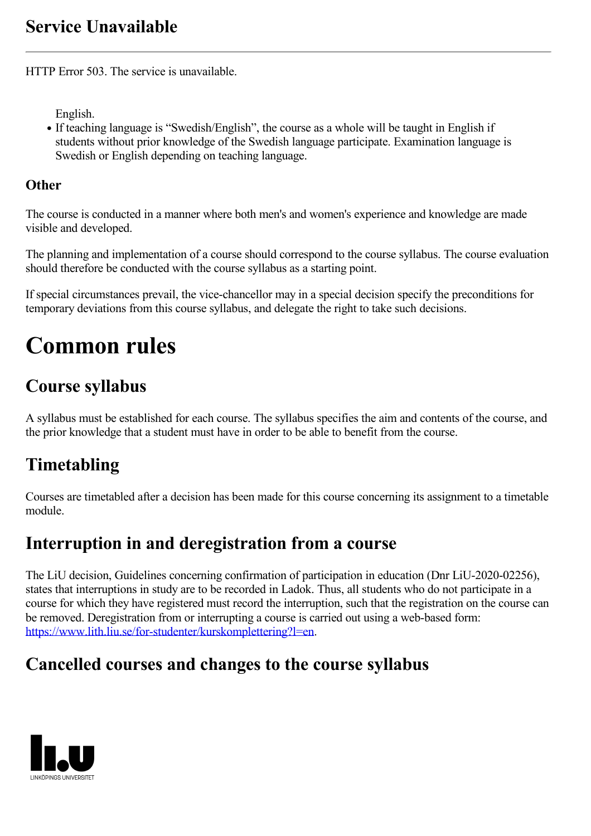HTTP Error 503. The service is unavailable.

English.

If teaching language is "Swedish/English", the course as a whole will be taught in English if students without prior knowledge of the Swedish language participate. Examination language is Swedish or English depending on teaching language.

#### **Other**

The course is conducted in a manner where both men's and women's experience and knowledge are made visible and developed.

The planning and implementation of a course should correspond to the course syllabus. The course evaluation should therefore be conducted with the course syllabus as a starting point.

If special circumstances prevail, the vice-chancellor may in a special decision specify the preconditions for temporary deviations from this course syllabus, and delegate the right to take such decisions.

# **Common rules**

# **Course syllabus**

A syllabus must be established for each course. The syllabus specifies the aim and contents of the course, and the prior knowledge that a student must have in order to be able to benefit from the course.

# **Timetabling**

Courses are timetabled after a decision has been made for this course concerning its assignment to a timetable module.

### **Interruption in and deregistration from a course**

The LiU decision, Guidelines concerning confirmation of participation in education (Dnr LiU-2020-02256), states that interruptions in study are to be recorded in Ladok. Thus, all students who do not participate in a course for which they have registered must record the interruption, such that the registration on the course can be removed. Deregistration from or interrupting a course is carried out using a web-based form: <https://www.lith.liu.se/for-studenter/kurskomplettering?l=en>.

### **Cancelled courses and changes to the course syllabus**

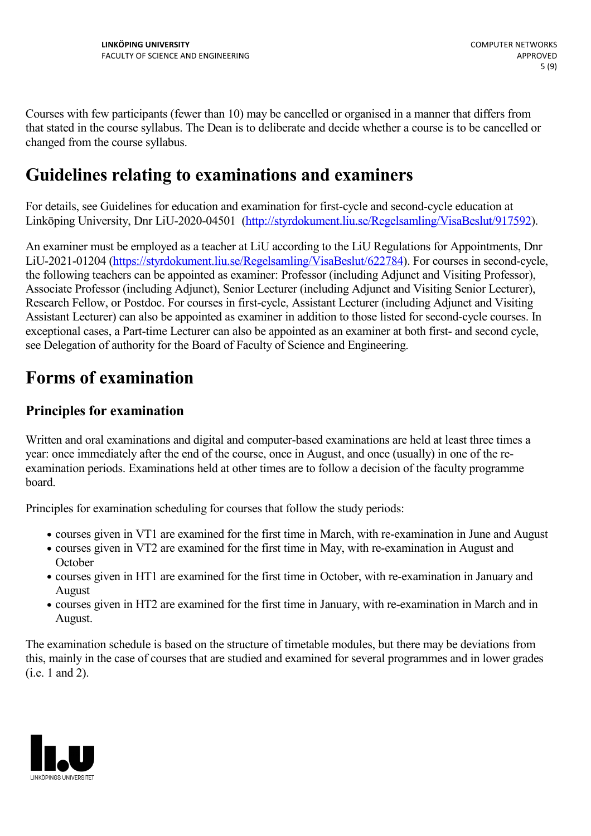Courses with few participants (fewer than 10) may be cancelled or organised in a manner that differs from that stated in the course syllabus. The Dean is to deliberate and decide whether a course is to be cancelled or changed from the course syllabus.

### **Guidelines relating to examinations and examiners**

For details, see Guidelines for education and examination for first-cycle and second-cycle education at Linköping University, Dnr LiU-2020-04501 [\(http://styrdokument.liu.se/Regelsamling/VisaBeslut/917592\)](http://styrdokument.liu.se/Regelsamling/VisaBeslut/917592).

An examiner must be employed as a teacher at LiU according to the LiU Regulations for Appointments, Dnr LiU-2021-01204 ([https://styrdokument.liu.se/Regelsamling/VisaBeslut/622784\)](https://styrdokument.liu.se/Regelsamling/VisaBeslut/622784). For courses in second-cycle, the following teachers can be appointed as examiner: Professor (including Adjunct and Visiting Professor), Associate Professor (including Adjunct), Senior Lecturer (including Adjunct and Visiting Senior Lecturer), Research Fellow, or Postdoc. For courses in first-cycle, Assistant Lecturer (including Adjunct and Visiting Assistant Lecturer) can also be appointed as examiner in addition to those listed for second-cycle courses. In exceptional cases, a Part-time Lecturer can also be appointed as an examiner at both first- and second cycle, see Delegation of authority for the Board of Faculty of Science and Engineering.

### **Forms of examination**

#### **Principles for examination**

Written and oral examinations and digital and computer-based examinations are held at least three times a year: once immediately after the end of the course, once in August, and once (usually) in one of the re examination periods. Examinations held at other times are to follow a decision of the faculty programme board.

Principles for examination scheduling for courses that follow the study periods:

- courses given in VT1 are examined for the first time in March, with re-examination in June and August
- courses given in VT2 are examined for the first time in May, with re-examination in August and **October**
- courses given in HT1 are examined for the first time in October, with re-examination in January and August
- courses given in HT2 are examined for the first time in January, with re-examination in March and in August.

The examination schedule is based on the structure of timetable modules, but there may be deviations from this, mainly in the case of courses that are studied and examined for several programmes and in lower grades (i.e. 1 and 2).

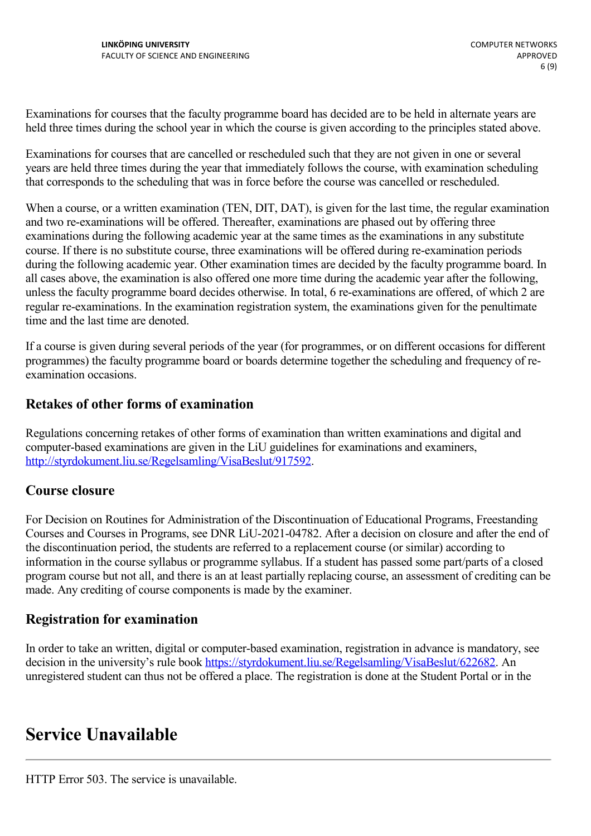Examinations for courses that the faculty programme board has decided are to be held in alternate years are held three times during the school year in which the course is given according to the principles stated above.

Examinations for courses that are cancelled or rescheduled such that they are not given in one or several years are held three times during the year that immediately follows the course, with examination scheduling that corresponds to the scheduling that was in force before the course was cancelled or rescheduled.

When a course, or a written examination (TEN, DIT, DAT), is given for the last time, the regular examination and two re-examinations will be offered. Thereafter, examinations are phased out by offering three examinations during the following academic year at the same times as the examinations in any substitute course. If there is no substitute course, three examinations will be offered during re-examination periods during the following academic year. Other examination times are decided by the faculty programme board. In all cases above, the examination is also offered one more time during the academic year after the following, unless the faculty programme board decides otherwise. In total, 6 re-examinations are offered, of which 2 are regular re-examinations. In the examination registration system, the examinations given for the penultimate time and the last time are denoted.

If a course is given during several periods of the year (for programmes, or on different occasions for different programmes) the faculty programme board or boards determine together the scheduling and frequency of re examination occasions.

#### **Retakes of other forms of examination**

Regulations concerning retakes of other forms of examination than written examinations and digital and computer-based examinations are given in the LiU guidelines for examinations and examiners, <http://styrdokument.liu.se/Regelsamling/VisaBeslut/917592>.

#### **Course closure**

For Decision on Routines for Administration of the Discontinuation of Educational Programs, Freestanding Courses and Courses in Programs, see DNR LiU-2021-04782. After a decision on closure and after the end of the discontinuation period, the students are referred to a replacement course (or similar) according to information in the course syllabus or programme syllabus. If a student has passed some part/parts of a closed program course but not all, and there is an at least partially replacing course, an assessment of crediting can be made. Any crediting of course components is made by the examiner.

#### **Registration for examination**

In order to take an written, digital or computer-based examination, registration in advance is mandatory, see decision in the university's rule book [https://styrdokument.liu.se/Regelsamling/VisaBeslut/622682.](https://styrdokument.liu.se/Regelsamling/VisaBeslut/622682) An unregistered student can thus not be offered a place. The registration is done at the Student Portal or in the

### **Service Unavailable**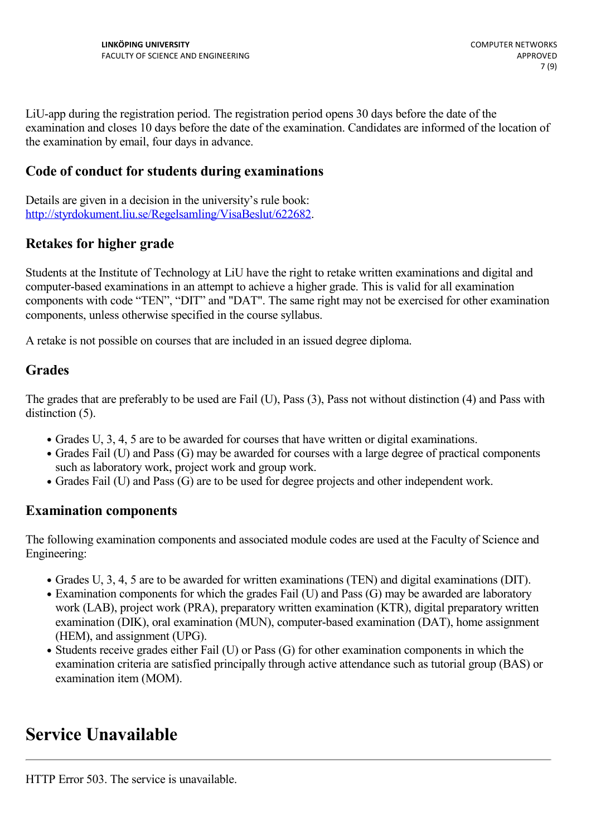LiU-app during the registration period. The registration period opens 30 days before the date of the examination and closes 10 days before the date of the examination. Candidates are informed of the location of the examination by email, four days in advance.

#### **Code of conduct for students during examinations**

Details are given in a decision in the university's rule book: <http://styrdokument.liu.se/Regelsamling/VisaBeslut/622682>.

#### **Retakes for higher grade**

Students at the Institute of Technology at LiU have the right to retake written examinations and digital and computer-based examinations in an attempt to achieve a higher grade. This is valid for all examination components with code "TEN", "DIT" and "DAT". The same right may not be exercised for other examination components, unless otherwise specified in the course syllabus.

A retake is not possible on courses that are included in an issued degree diploma.

#### **Grades**

The grades that are preferably to be used are Fail (U), Pass (3), Pass not without distinction (4) and Pass with distinction  $(5)$ .

- Grades U, 3, 4, 5 are to be awarded for courses that have written or digital examinations.
- Grades Fail (U) and Pass (G) may be awarded for courses with a large degree of practical components such as laboratory work, project work and group work.
- Grades Fail (U) and Pass (G) are to be used for degree projects and other independent work.

#### **Examination components**

The following examination components and associated module codes are used at the Faculty of Science and Engineering:

- Grades U, 3, 4, 5 are to be awarded for written examinations (TEN) and digital examinations (DIT).
- Examination components for which the grades Fail (U) and Pass (G) may be awarded are laboratory work (LAB), project work (PRA), preparatory written examination (KTR), digital preparatory written examination (DIK), oral examination (MUN), computer-based examination (DAT), home assignment (HEM), and assignment (UPG).
- Students receive grades either Fail (U) or Pass (G) for other examination components in which the examination criteria are satisfied principally through active attendance such as tutorial group (BAS) or examination item (MOM).

### **Service Unavailable**

HTTP Error 503. The service is unavailable.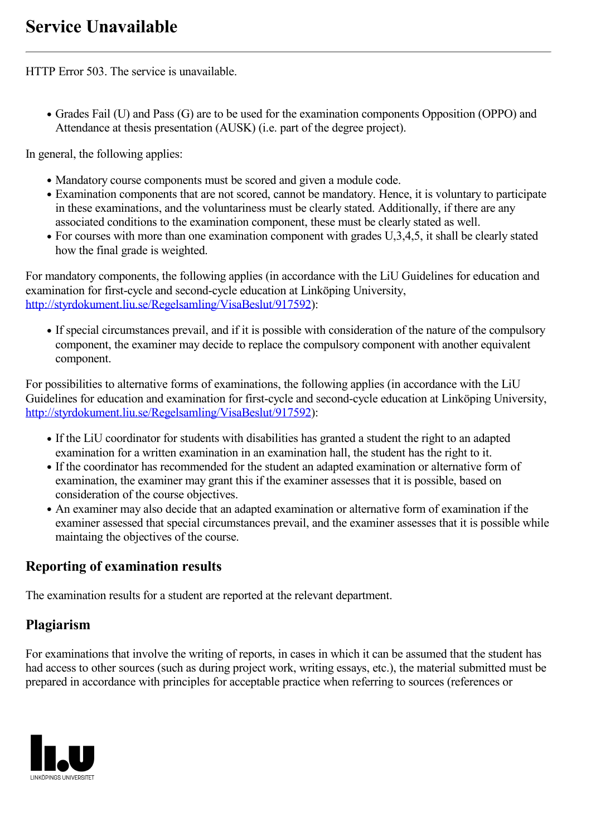HTTP Error 503. The service is unavailable.

Grades Fail (U) and Pass (G) are to be used for the examination components Opposition (OPPO) and Attendance at thesis presentation (AUSK) (i.e. part of the degree project).

In general, the following applies:

- Mandatory course components must be scored and given a module code.
- Examination components that are not scored, cannot be mandatory. Hence, it is voluntary to participate in these examinations, and the voluntariness must be clearly stated. Additionally, if there are any associated conditions to the examination component, these must be clearly stated as well.
- For courses with more than one examination component with grades U,3,4,5, it shall be clearly stated how the final grade is weighted.

For mandatory components, the following applies (in accordance with the LiU Guidelines for education and examination for first-cycle and second-cycle education at Linköping University, <http://styrdokument.liu.se/Regelsamling/VisaBeslut/917592>):

• If special circumstances prevail, and if it is possible with consideration of the nature of the compulsory component, the examiner may decide to replace the compulsory component with another equivalent component.

For possibilities to alternative forms of examinations, the following applies (in accordance with the LiU Guidelines for education and examination for first-cycle and second-cycle education at Linköping University, <http://styrdokument.liu.se/Regelsamling/VisaBeslut/917592>):

- If the LiU coordinator for students with disabilities has granted a student the right to an adapted examination for a written examination in an examination hall, the student has the right to it.
- If the coordinator has recommended for the student an adapted examination or alternative form of examination, the examiner may grant this if the examiner assesses that it is possible, based on consideration of the course objectives.
- An examiner may also decide that an adapted examination or alternative form of examination if the examiner assessed that special circumstances prevail, and the examiner assesses that it is possible while maintaing the objectives of the course.

#### **Reporting of examination results**

The examination results for a student are reported at the relevant department.

#### **Plagiarism**

For examinations that involve the writing of reports, in cases in which it can be assumed that the student has had access to other sources (such as during project work, writing essays, etc.), the material submitted must be prepared in accordance with principles for acceptable practice when referring to sources (references or